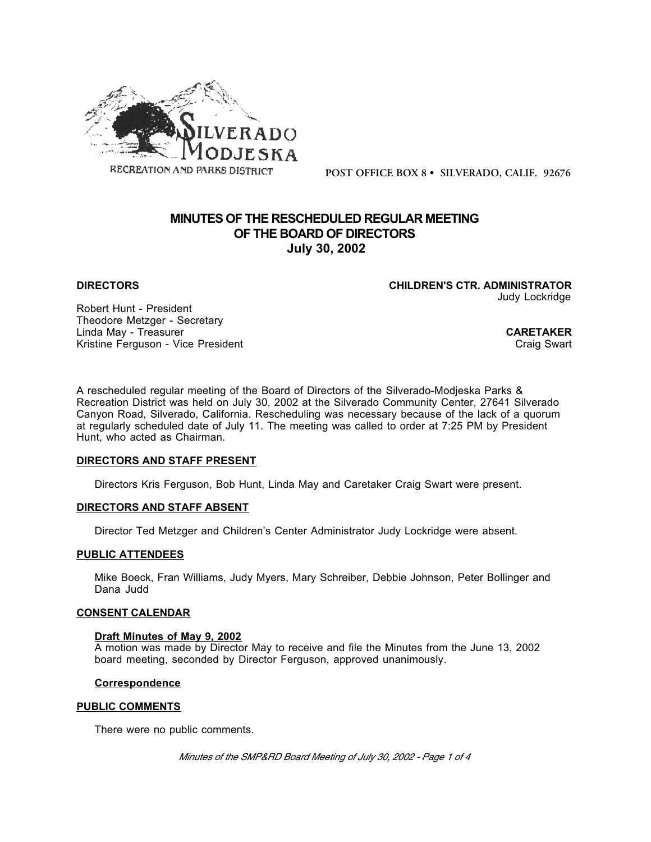

**POST OFFICE BOX 8 • SILVERADO, CALIF. 92676**

# **MINUTES OF THE RESCHEDULED REGULAR MEETING OF THE BOARD OF DIRECTORS July 30, 2002**

**DIRECTORS CHILDREN'S CTR. ADMINISTRATOR** Judy Lockridge

Robert Hunt - President Theodore Metzger - Secretary Linda May - Treasurer **CARETAKER**<br>
Kristine Ferguson - Vice President Kristine Ferguson - Vice President

A rescheduled regular meeting of the Board of Directors of the Silverado-Modjeska Parks & Recreation District was held on July 30, 2002 at the Silverado Community Center, 27641 Silverado Canyon Road, Silverado, California. Rescheduling was necessary because of the lack of a quorum at regularly scheduled date of July 11. The meeting was called to order at 7:25 PM by President Hunt, who acted as Chairman.

#### **DIRECTORS AND STAFF PRESENT**

Directors Kris Ferguson, Bob Hunt, Linda May and Caretaker Craig Swart were present.

## **DIRECTORS AND STAFF ABSENT**

Director Ted Metzger and Children's Center Administrator Judy Lockridge were absent.

#### **PUBLIC ATTENDEES**

Mike Boeck, Fran Williams, Judy Myers, Mary Schreiber, Debbie Johnson, Peter Bollinger and Dana Judd

## **CONSENT CALENDAR**

#### **Draft Minutes of May 9, 2002**

A motion was made by Director May to receive and file the Minutes from the June 13, 2002 board meeting, seconded by Director Ferguson, approved unanimously.

## **Correspondence**

#### **PUBLIC COMMENTS**

There were no public comments.

*Minutes of the SMP&RD Board Meeting of July 30, 2002 - Page 1 of 4*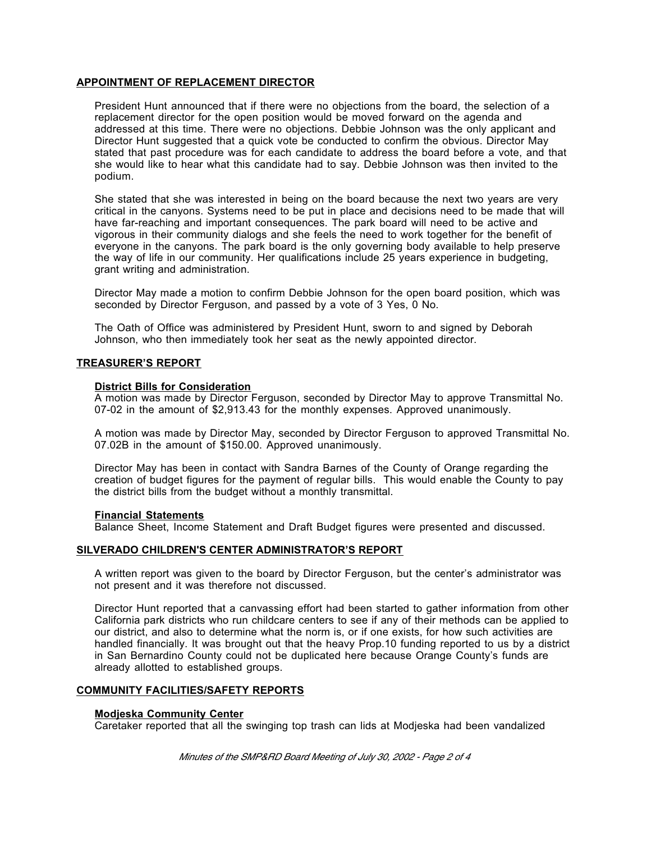## **APPOINTMENT OF REPLACEMENT DIRECTOR**

President Hunt announced that if there were no objections from the board, the selection of a replacement director for the open position would be moved forward on the agenda and addressed at this time. There were no objections. Debbie Johnson was the only applicant and Director Hunt suggested that a quick vote be conducted to confirm the obvious. Director May stated that past procedure was for each candidate to address the board before a vote, and that she would like to hear what this candidate had to say. Debbie Johnson was then invited to the podium.

She stated that she was interested in being on the board because the next two years are very critical in the canyons. Systems need to be put in place and decisions need to be made that will have far-reaching and important consequences. The park board will need to be active and vigorous in their community dialogs and she feels the need to work together for the benefit of everyone in the canyons. The park board is the only governing body available to help preserve the way of life in our community. Her qualifications include 25 years experience in budgeting, grant writing and administration.

Director May made a motion to confirm Debbie Johnson for the open board position, which was seconded by Director Ferguson, and passed by a vote of 3 Yes, 0 No.

The Oath of Office was administered by President Hunt, sworn to and signed by Deborah Johnson, who then immediately took her seat as the newly appointed director.

## **TREASURER'S REPORT**

#### **District Bills for Consideration**

A motion was made by Director Ferguson, seconded by Director May to approve Transmittal No. 07-02 in the amount of \$2,913.43 for the monthly expenses. Approved unanimously.

A motion was made by Director May, seconded by Director Ferguson to approved Transmittal No. 07.02B in the amount of \$150.00. Approved unanimously.

Director May has been in contact with Sandra Barnes of the County of Orange regarding the creation of budget figures for the payment of regular bills. This would enable the County to pay the district bills from the budget without a monthly transmittal.

#### **Financial Statements**

Balance Sheet, Income Statement and Draft Budget figures were presented and discussed.

#### **SILVERADO CHILDREN'S CENTER ADMINISTRATOR'S REPORT**

A written report was given to the board by Director Ferguson, but the center's administrator was not present and it was therefore not discussed.

Director Hunt reported that a canvassing effort had been started to gather information from other California park districts who run childcare centers to see if any of their methods can be applied to our district, and also to determine what the norm is, or if one exists, for how such activities are handled financially. It was brought out that the heavy Prop.10 funding reported to us by a district in San Bernardino County could not be duplicated here because Orange County's funds are already allotted to established groups.

#### **COMMUNITY FACILITIES/SAFETY REPORTS**

#### **Modjeska Community Center**

Caretaker reported that all the swinging top trash can lids at Modjeska had been vandalized

*Minutes of the SMP&RD Board Meeting of July 30, 2002 - Page 2 of 4*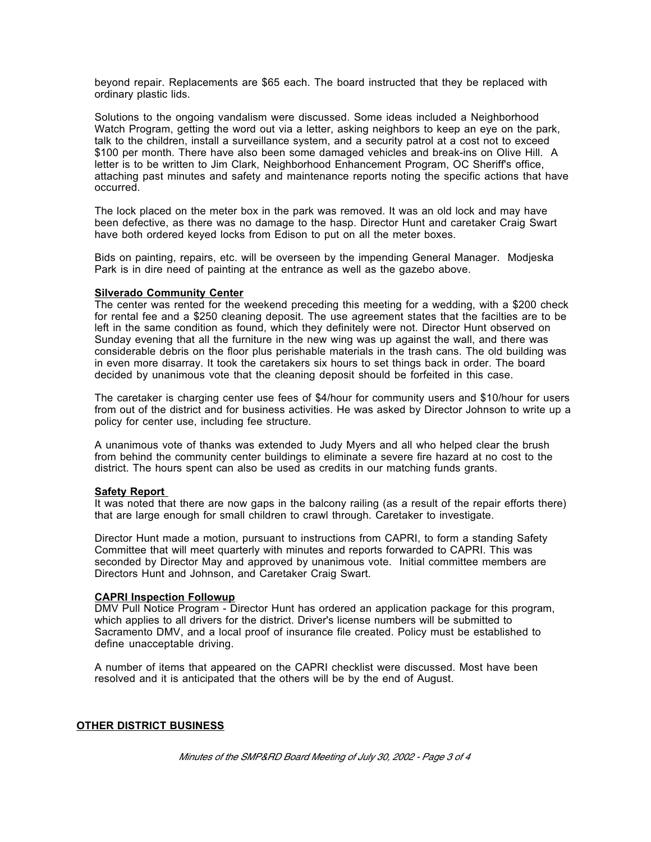beyond repair. Replacements are \$65 each. The board instructed that they be replaced with ordinary plastic lids.

Solutions to the ongoing vandalism were discussed. Some ideas included a Neighborhood Watch Program, getting the word out via a letter, asking neighbors to keep an eye on the park, talk to the children, install a surveillance system, and a security patrol at a cost not to exceed \$100 per month. There have also been some damaged vehicles and break-ins on Olive Hill. A letter is to be written to Jim Clark, Neighborhood Enhancement Program, OC Sheriff's office, attaching past minutes and safety and maintenance reports noting the specific actions that have occurred.

The lock placed on the meter box in the park was removed. It was an old lock and may have been defective, as there was no damage to the hasp. Director Hunt and caretaker Craig Swart have both ordered keyed locks from Edison to put on all the meter boxes.

Bids on painting, repairs, etc. will be overseen by the impending General Manager. Modjeska Park is in dire need of painting at the entrance as well as the gazebo above.

#### **Silverado Community Center**

The center was rented for the weekend preceding this meeting for a wedding, with a \$200 check for rental fee and a \$250 cleaning deposit. The use agreement states that the facilties are to be left in the same condition as found, which they definitely were not. Director Hunt observed on Sunday evening that all the furniture in the new wing was up against the wall, and there was considerable debris on the floor plus perishable materials in the trash cans. The old building was in even more disarray. It took the caretakers six hours to set things back in order. The board decided by unanimous vote that the cleaning deposit should be forfeited in this case.

The caretaker is charging center use fees of \$4/hour for community users and \$10/hour for users from out of the district and for business activities. He was asked by Director Johnson to write up a policy for center use, including fee structure.

A unanimous vote of thanks was extended to Judy Myers and all who helped clear the brush from behind the community center buildings to eliminate a severe fire hazard at no cost to the district. The hours spent can also be used as credits in our matching funds grants.

## **Safety Report**

It was noted that there are now gaps in the balcony railing (as a result of the repair efforts there) that are large enough for small children to crawl through. Caretaker to investigate.

Director Hunt made a motion, pursuant to instructions from CAPRI, to form a standing Safety Committee that will meet quarterly with minutes and reports forwarded to CAPRI. This was seconded by Director May and approved by unanimous vote. Initial committee members are Directors Hunt and Johnson, and Caretaker Craig Swart.

## **CAPRI Inspection Followup**

DMV Pull Notice Program - Director Hunt has ordered an application package for this program, which applies to all drivers for the district. Driver's license numbers will be submitted to Sacramento DMV, and a local proof of insurance file created. Policy must be established to define unacceptable driving.

A number of items that appeared on the CAPRI checklist were discussed. Most have been resolved and it is anticipated that the others will be by the end of August.

### **OTHER DISTRICT BUSINESS**